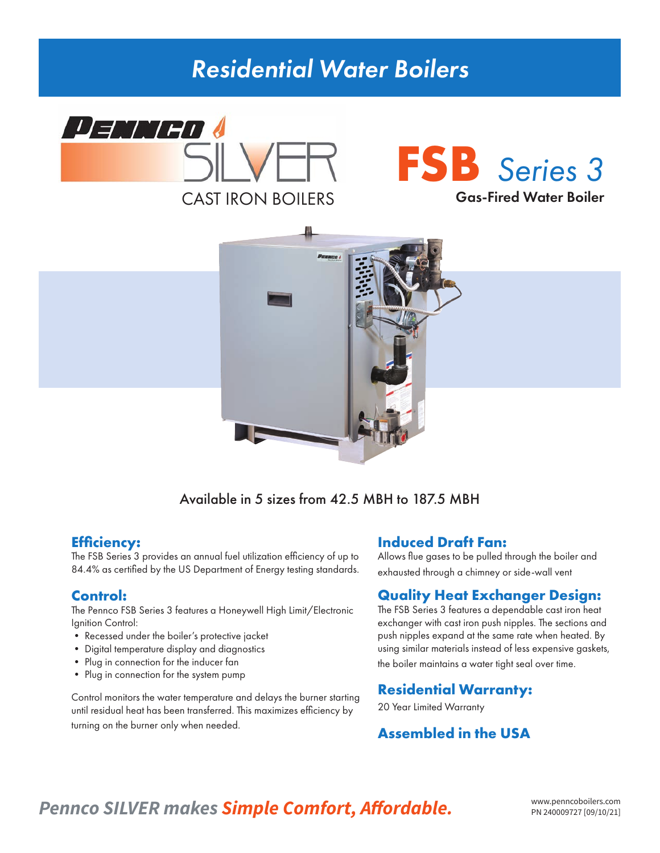# *Residential Water Boilers*







# Available in 5 sizes from 42.5 MBH to 187.5 MBH

# **Efficiency:**

The FSB Series 3 provides an annual fuel utilization efficiency of up to 84.4% as certified by the US Department of Energy testing standards.

# **Control:**

The Pennco FSB Series 3 features a Honeywell High Limit/Electronic Ignition Control:

- Recessed under the boiler's protective jacket
- Digital temperature display and diagnostics
- Plug in connection for the inducer fan
- Plug in connection for the system pump

Control monitors the water temperature and delays the burner starting until residual heat has been transferred. This maximizes efficiency by turning on the burner only when needed.

# **Induced Draft Fan:**

Allows flue gases to be pulled through the boiler and exhausted through a chimney or side-wall vent

# **Quality Heat Exchanger Design:**

The FSB Series 3 features a dependable cast iron heat exchanger with cast iron push nipples. The sections and push nipples expand at the same rate when heated. By using similar materials instead of less expensive gaskets, the boiler maintains a water tight seal over time.

### **Residential Warranty:**

20 Year Limited Warranty

# **Assembled in the USA**

# Pennco SILVER makes **Simple Comfort, Affordable.** WWW.penncoboilers.com